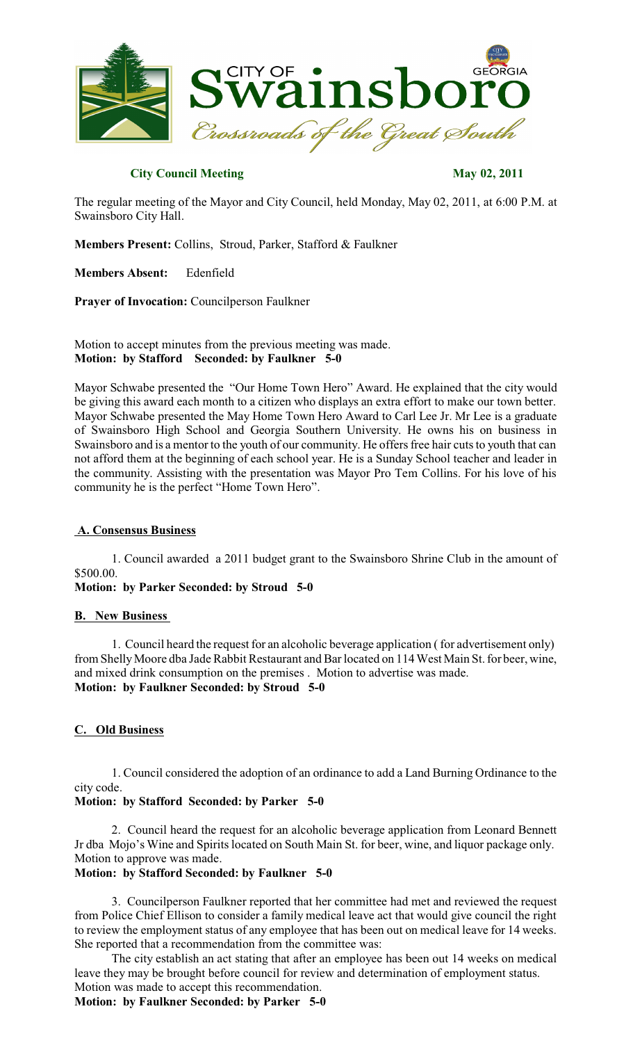

## **City Council Meeting May 02, 2011**

The regular meeting of the Mayor and City Council, held Monday, May 02, 2011, at 6:00 P.M. at Swainsboro City Hall.

**Members Present:** Collins, Stroud, Parker, Stafford & Faulkner

**Members Absent:** Edenfield

**Prayer of Invocation:** Councilperson Faulkner

Motion to accept minutes from the previous meeting was made. **Motion: by Stafford Seconded: by Faulkner 5-0**

Mayor Schwabe presented the "Our Home Town Hero" Award. He explained that the city would be giving this award each month to a citizen who displays an extra effort to make our town better. Mayor Schwabe presented the May Home Town Hero Award to Carl Lee Jr. Mr Lee is a graduate of Swainsboro High School and Georgia Southern University. He owns his on business in Swainsboro and is a mentor to the youth of our community. He offers free hair cuts to youth that can not afford them at the beginning of each school year. He is a Sunday School teacher and leader in the community. Assisting with the presentation was Mayor Pro Tem Collins. For his love of his community he is the perfect "Home Town Hero".

### **A. Consensus Business**

1. Council awarded a 2011 budget grant to the Swainsboro Shrine Club in the amount of \$500.00.

**Motion: by Parker Seconded: by Stroud 5-0**

### **B. New Business**

1. Council heard the request for an alcoholic beverage application ( for advertisement only) from Shelly Moore dba Jade Rabbit Restaurant and Bar located on 114 West Main St. for beer, wine, and mixed drink consumption on the premises . Motion to advertise was made. **Motion: by Faulkner Seconded: by Stroud 5-0**

## **C. Old Business**

1. Council considered the adoption of an ordinance to add a Land Burning Ordinance to the city code.

## **Motion: by Stafford Seconded: by Parker 5-0**

2. Council heard the request for an alcoholic beverage application from Leonard Bennett Jr dba Mojo's Wine and Spiritslocated on South Main St. for beer, wine, and liquor package only. Motion to approve was made.

# **Motion: by Stafford Seconded: by Faulkner 5-0**

3. Councilperson Faulkner reported that her committee had met and reviewed the request from Police Chief Ellison to consider a family medical leave act that would give council the right to review the employment status of any employee that has been out on medical leave for 14 weeks. She reported that a recommendation from the committee was:

The city establish an act stating that after an employee has been out 14 weeks on medical leave they may be brought before council for review and determination of employment status. Motion was made to accept this recommendation.

**Motion: by Faulkner Seconded: by Parker 5-0**